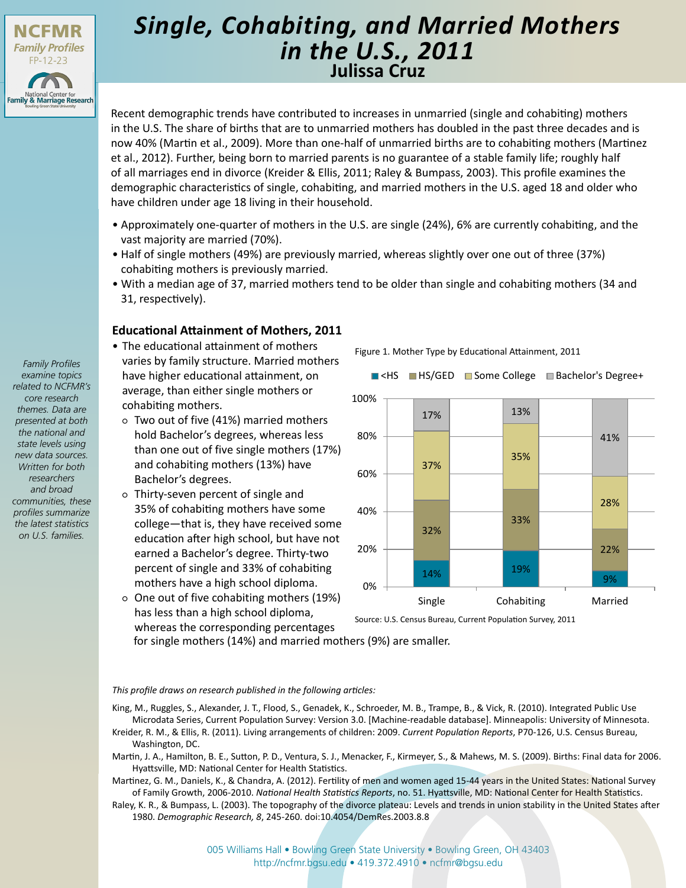

# **Julissa Cruz** *Single, Cohabiting, and Married Mothers in the U.S., 2011*

Recent demographic trends have contributed to increases in unmarried (single and cohabiting) mothers in the U.S. The share of births that are to unmarried mothers has doubled in the past three decades and is now 40% (Martin et al., 2009). More than one-half of unmarried births are to cohabiting mothers (Martinez et al., 2012). Further, being born to married parents is no guarantee of a stable family life; roughly half of all marriages end in divorce (Kreider & Ellis, 2011; Raley & Bumpass, 2003). This profile examines the demographic characteristics of single, cohabiting, and married mothers in the U.S. aged 18 and older who have children under age 18 living in their household.

- Approximately one-quarter of mothers in the U.S. are single (24%), 6% are currently cohabiting, and the vast majority are married (70%).
- Half of single mothers (49%) are previously married, whereas slightly over one out of three (37%) cohabiting mothers is previously married.
- With a median age of 37, married mothers tend to be older than single and cohabiting mothers (34 and 31, respectively).

## **Educational Attainment of Mothers, 2011**

- The educational attainment of mothers varies by family structure. Married mothers have higher educational attainment, on average, than either single mothers or cohabiting mothers.
- Two out of five (41%) married mothers hold Bachelor's degrees, whereas less than one out of five single mothers (17%) and cohabiting mothers (13%) have Bachelor's degrees.
- Thirty-seven percent of single and 35% of cohabiting mothers have some college—that is, they have received some education after high school, but have not earned a Bachelor's degree. Thirty-two percent of single and 33% of cohabiting mothers have a high school diploma.
- One out of five cohabiting mothers (19%) has less than a high school diploma, whereas the corresponding percentages

Figure 1. Mother Type by Educational Attainment, 2011



Source: U.S. Census Bureau, Current Population Survey, 2011

for single mothers (14%) and married mothers (9%) are smaller.

#### *This profile draws on research published in the following articles:*

King, M., Ruggles, S., Alexander, J. T., Flood, S., Genadek, K., Schroeder, M. B., Trampe, B., & Vick, R. (2010). Integrated Public Use Microdata Series, Current Population Survey: Version 3.0. [Machine-readable database]. Minneapolis: University of Minnesota. Kreider, R. M., & Ellis, R. (2011). Living arrangements of children: 2009. *Current Population Reports*, P70-126, U.S. Census Bureau,

- Washington, DC. Martin, J. A., Hamilton, B. E., Sutton, P. D., Ventura, S. J., Menacker, F., Kirmeyer, S., & Mahews, M. S. (2009). Births: Final data for 2006. Hyattsville, MD: National Center for Health Statistics.
- Martinez, G. M., Daniels, K., & Chandra, A. (2012). Fertility of men and women aged 15-44 years in the United States: National Survey of Family Growth, 2006-2010. *National Health Statistics Reports*, no. 51. Hyattsville, MD: National Center for Health Statistics.

Raley, K. R., & Bumpass, L. (2003). The topography of the divorce plateau: Levels and trends in union stability in the United States after 1980. *Demographic Research, 8*, 245-260. doi:10.4054/DemRes.2003.8.8

*related to NCFMR's core research themes. Data are presented at both the national and state levels using new data sources. Written for both researchers and broad communities, these profiles summarize the latest statistics on U.S. families.*

*Family Profiles examine topics*